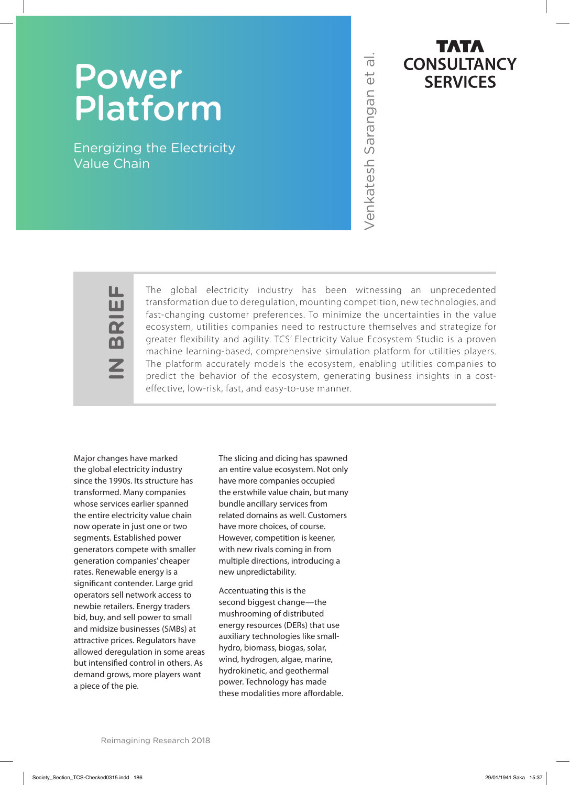# Power Platform

Energizing the Electricity Value Chain

Venkatesh Sarangan et al.  $\overline{\overline{10}}$ Venkatesh Sarangan et



ய **IN BRIEF**  $\overline{\mathbf{u}}$  $\overline{\mathbf{R}}$ Z

The global electricity industry has been witnessing an unprecedented transformation due to deregulation, mounting competition, new technologies, and fast-changing customer preferences. To minimize the uncertainties in the value ecosystem, utilities companies need to restructure themselves and strategize for greater flexibility and agility. TCS' Electricity Value Ecosystem Studio is a proven machine learning-based, comprehensive simulation platform for utilities players. The platform accurately models the ecosystem, enabling utilities companies to predict the behavior of the ecosystem, generating business insights in a costeffective, low-risk, fast, and easy-to-use manner.

Major changes have marked the global electricity industry since the 1990s. Its structure has transformed. Many companies whose services earlier spanned the entire electricity value chain now operate in just one or two segments. Established power generators compete with smaller generation companies' cheaper rates. Renewable energy is a significant contender. Large grid operators sell network access to newbie retailers. Energy traders bid, buy, and sell power to small and midsize businesses (SMBs) at attractive prices. Regulators have allowed deregulation in some areas but intensified control in others. As demand grows, more players want a piece of the pie.

The slicing and dicing has spawned an entire value ecosystem. Not only have more companies occupied the erstwhile value chain, but many bundle ancillary services from related domains as well. Customers have more choices, of course. However, competition is keener, with new rivals coming in from multiple directions, introducing a new unpredictability.

Accentuating this is the second biggest change—the mushrooming of distributed energy resources (DERs) that use auxiliary technologies like smallhydro, biomass, biogas, solar, wind, hydrogen, algae, marine, hydrokinetic, and geothermal power. Technology has made these modalities more affordable.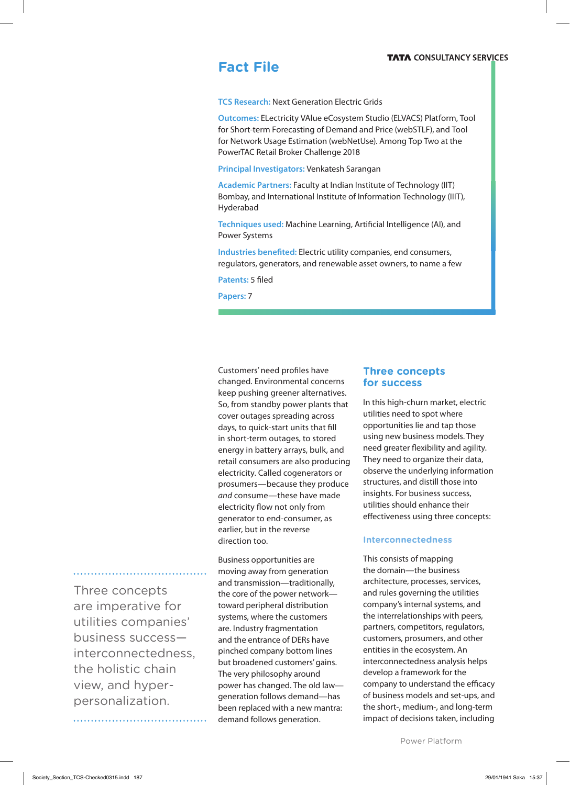# **Fact File**

**TCS Research:** Next Generation Electric Grids

**Outcomes:** ELectricity VAlue eCosystem Studio (ELVACS) Platform, Tool for Short-term Forecasting of Demand and Price (webSTLF), and Tool for Network Usage Estimation (webNetUse). Among Top Two at the PowerTAC Retail Broker Challenge 2018

**Principal Investigators:** Venkatesh Sarangan

**Academic Partners:** Faculty at Indian Institute of Technology (IIT) Bombay, and International Institute of Information Technology (IIIT), Hyderabad

**Techniques used:** Machine Learning, Artificial Intelligence (AI), and Power Systems

**Industries benefited:** Electric utility companies, end consumers, regulators, generators, and renewable asset owners, to name a few

**Patents:** 5 filed

**Papers:** 7

Customers' need profiles have changed. Environmental concerns keep pushing greener alternatives. So, from standby power plants that cover outages spreading across days, to quick-start units that fill in short-term outages, to stored energy in battery arrays, bulk, and retail consumers are also producing electricity. Called cogenerators or prosumers—because they produce *and* consume—these have made electricity flow not only from generator to end-consumer, as earlier, but in the reverse direction too.

Business opportunities are moving away from generation and transmission—traditionally, the core of the power network toward peripheral distribution systems, where the customers are. Industry fragmentation and the entrance of DERs have pinched company bottom lines but broadened customers' gains. The very philosophy around power has changed. The old law generation follows demand—has been replaced with a new mantra: demand follows generation.

#### **Three concepts for success**

In this high-churn market, electric utilities need to spot where opportunities lie and tap those using new business models. They need greater flexibility and agility. They need to organize their data, observe the underlying information structures, and distill those into insights. For business success, utilities should enhance their effectiveness using three concepts:

#### **Interconnectedness**

This consists of mapping the domain—the business architecture, processes, services, and rules governing the utilities company's internal systems, and the interrelationships with peers, partners, competitors, regulators, customers, prosumers, and other entities in the ecosystem. An interconnectedness analysis helps develop a framework for the company to understand the efficacy of business models and set-ups, and the short-, medium-, and long-term impact of decisions taken, including

Power Platform

Three concepts are imperative for utilities companies' business success interconnectedness, the holistic chain view, and hyperpersonalization.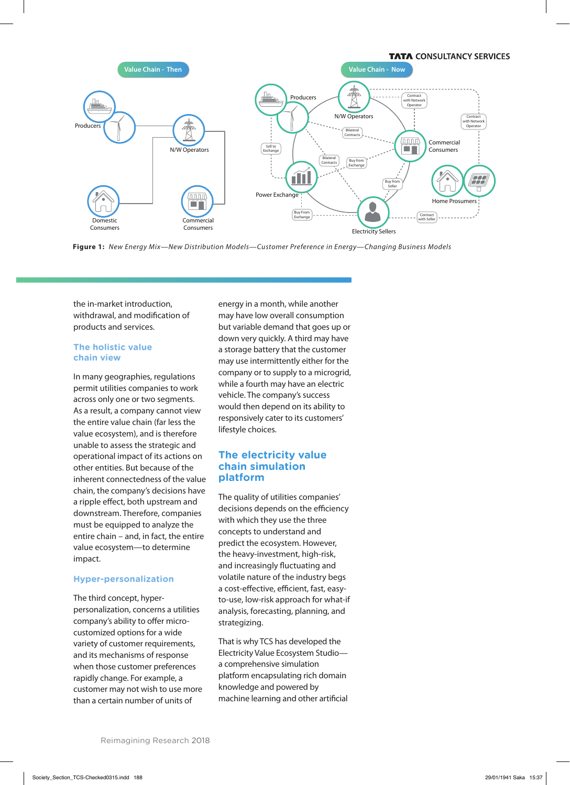

**Figure 1:** *New Energy Mix—New Distribution Models—Customer Preference in Energy—Changing Business Models*

the in-market introduction, withdrawal, and modification of products and services.

#### **The holistic value chain view**

In many geographies, regulations permit utilities companies to work across only one or two segments. As a result, a company cannot view the entire value chain (far less the value ecosystem), and is therefore unable to assess the strategic and operational impact of its actions on other entities. But because of the inherent connectedness of the value chain, the company's decisions have a ripple effect, both upstream and downstream. Therefore, companies must be equipped to analyze the entire chain – and, in fact, the entire value ecosystem—to determine impact.

#### **Hyper-personalization**

The third concept, hyperpersonalization, concerns a utilities company's ability to offer microcustomized options for a wide variety of customer requirements, and its mechanisms of response when those customer preferences rapidly change. For example, a customer may not wish to use more than a certain number of units of

energy in a month, while another may have low overall consumption but variable demand that goes up or down very quickly. A third may have a storage battery that the customer may use intermittently either for the company or to supply to a microgrid, while a fourth may have an electric vehicle. The company's success would then depend on its ability to responsively cater to its customers' lifestyle choices.

#### **The electricity value chain simulation platform**

The quality of utilities companies' decisions depends on the efficiency with which they use the three concepts to understand and predict the ecosystem. However, the heavy-investment, high-risk, and increasingly fluctuating and volatile nature of the industry begs a cost-effective, efficient, fast, easyto-use, low-risk approach for what-if analysis, forecasting, planning, and strategizing.

That is why TCS has developed the Electricity Value Ecosystem Studio a comprehensive simulation platform encapsulating rich domain knowledge and powered by machine learning and other artificial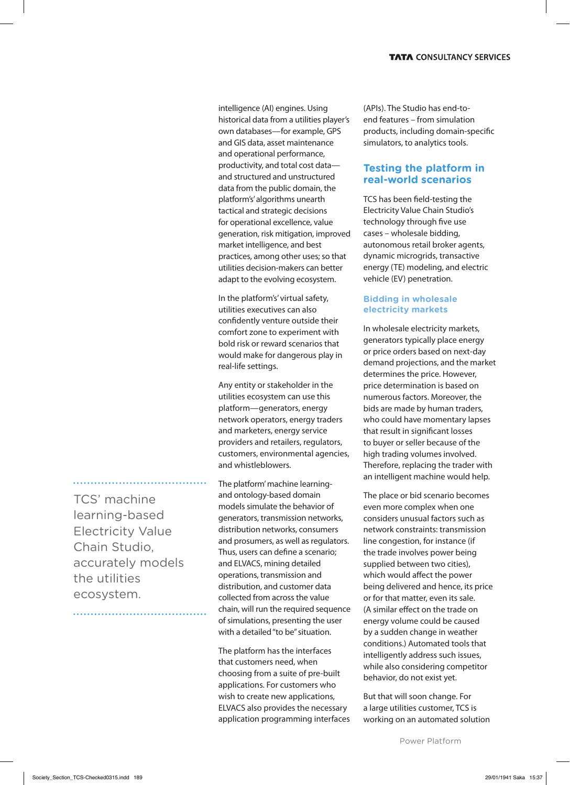intelligence (AI) engines. Using historical data from a utilities player's own databases—for example, GPS and GIS data, asset maintenance and operational performance, productivity, and total cost data and structured and unstructured data from the public domain, the platform's' algorithms unearth tactical and strategic decisions for operational excellence, value generation, risk mitigation, improved market intelligence, and best practices, among other uses; so that utilities decision-makers can better adapt to the evolving ecosystem.

In the platform's' virtual safety, utilities executives can also confidently venture outside their comfort zone to experiment with bold risk or reward scenarios that would make for dangerous play in real-life settings.

Any entity or stakeholder in the utilities ecosystem can use this platform—generators, energy network operators, energy traders and marketers, energy service providers and retailers, regulators, customers, environmental agencies, and whistleblowers.

The platform' machine learningand ontology-based domain models simulate the behavior of generators, transmission networks, distribution networks, consumers and prosumers, as well as regulators. Thus, users can define a scenario; and ELVACS, mining detailed operations, transmission and distribution, and customer data collected from across the value chain, will run the required sequence of simulations, presenting the user with a detailed "to be" situation.

The platform has the interfaces that customers need, when choosing from a suite of pre-built applications. For customers who wish to create new applications, ELVACS also provides the necessary application programming interfaces (APIs). The Studio has end-toend features – from simulation products, including domain-specific simulators, to analytics tools.

#### **Testing the platform in real-world scenarios**

TCS has been field-testing the Electricity Value Chain Studio's technology through five use cases – wholesale bidding, autonomous retail broker agents, dynamic microgrids, transactive energy (TE) modeling, and electric vehicle (EV) penetration.

#### **Bidding in wholesale electricity markets**

In wholesale electricity markets, generators typically place energy or price orders based on next-day demand projections, and the market determines the price. However, price determination is based on numerous factors. Moreover, the bids are made by human traders, who could have momentary lapses that result in significant losses to buyer or seller because of the high trading volumes involved. Therefore, replacing the trader with an intelligent machine would help.

The place or bid scenario becomes even more complex when one considers unusual factors such as network constraints: transmission line congestion, for instance (if the trade involves power being supplied between two cities), which would affect the power being delivered and hence, its price or for that matter, even its sale. (A similar effect on the trade on energy volume could be caused by a sudden change in weather conditions.) Automated tools that intelligently address such issues, while also considering competitor behavior, do not exist yet.

But that will soon change. For a large utilities customer, TCS is working on an automated solution

TCS' machine learning-based Electricity Value Chain Studio, accurately models the utilities ecosystem.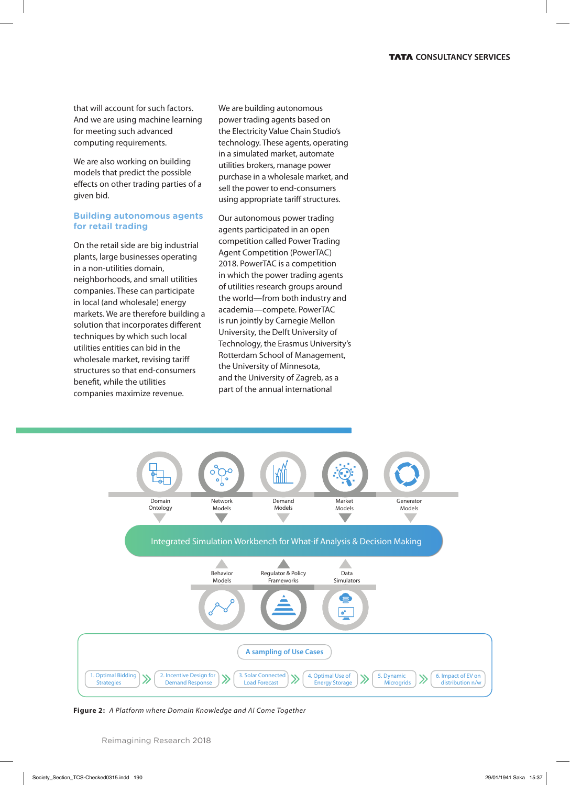that will account for such factors. And we are using machine learning for meeting such advanced computing requirements.

We are also working on building models that predict the possible effects on other trading parties of a given bid.

#### **Building autonomous agents for retail trading**

On the retail side are big industrial plants, large businesses operating in a non-utilities domain, neighborhoods, and small utilities companies. These can participate in local (and wholesale) energy markets. We are therefore building a solution that incorporates different techniques by which such local utilities entities can bid in the wholesale market, revising tariff structures so that end-consumers benefit, while the utilities companies maximize revenue.

We are building autonomous power trading agents based on the Electricity Value Chain Studio's technology. These agents, operating in a simulated market, automate utilities brokers, manage power purchase in a wholesale market, and sell the power to end-consumers using appropriate tariff structures.

Our autonomous power trading agents participated in an open competition called Power Trading Agent Competition (PowerTAC) 2018. PowerTAC is a competition in which the power trading agents of utilities research groups around the world—from both industry and academia—compete. PowerTAC is run jointly by Carnegie Mellon University, the Delft University of Technology, the Erasmus University's Rotterdam School of Management, the University of Minnesota, and the University of Zagreb, as a part of the annual international



**Figure 2:** *A Platform where Domain Knowledge and AI Come Together*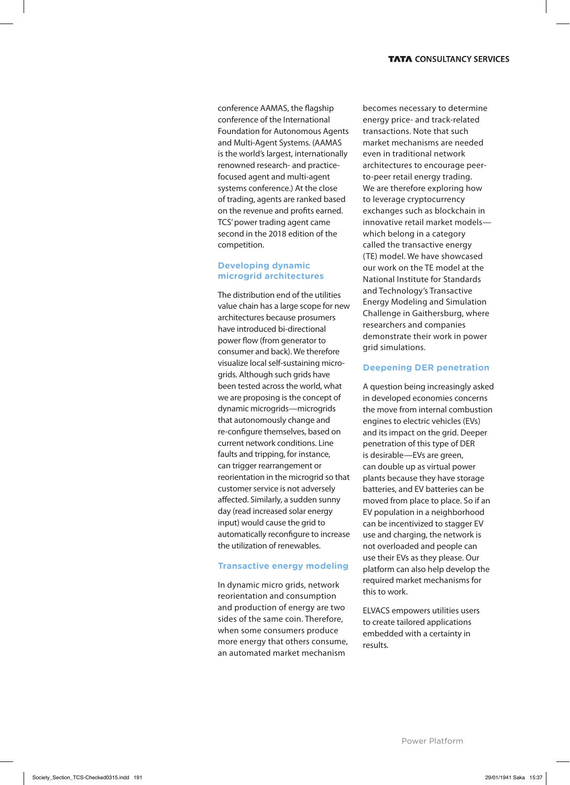conference AAMAS, the flagship conference of the International Foundation for Autonomous Agents and Multi-Agent Systems. (AAMAS is the world's largest, internationally renowned research- and practicefocused agent and multi-agent systems conference.) At the close of trading, agents are ranked based on the revenue and profits earned. TCS' power trading agent came second in the 2018 edition of the competition.

#### **Developing dynamic microgrid architectures**

The distribution end of the utilities value chain has a large scope for new architectures because prosumers have introduced bi-directional power flow (from generator to consumer and back). We therefore visualize local self-sustaining microgrids. Although such grids have been tested across the world, what we are proposing is the concept of dynamic microgrids—microgrids that autonomously change and re-configure themselves, based on current network conditions. Line faults and tripping, for instance, can trigger rearrangement or reorientation in the microgrid so that customer service is not adversely affected. Similarly, a sudden sunny day (read increased solar energy input) would cause the grid to automatically reconfigure to increase the utilization of renewables.

#### **Transactive energy modeling**

In dynamic micro grids, network reorientation and consumption and production of energy are two sides of the same coin. Therefore, when some consumers produce more energy that others consume, an automated market mechanism

becomes necessary to determine energy price- and track-related transactions. Note that such market mechanisms are needed even in traditional network architectures to encourage peerto-peer retail energy trading. We are therefore exploring how to leverage cryptocurrency exchanges such as blockchain in innovative retail market models which belong in a category called the transactive energy (TE) model. We have showcased our work on the TE model at the National Institute for Standards and Technology's Transactive Energy Modeling and Simulation Challenge in Gaithersburg, where researchers and companies demonstrate their work in power grid simulations.

#### **Deepening DER penetration**

A question being increasingly asked in developed economies concerns the move from internal combustion engines to electric vehicles (EVs) and its impact on the grid. Deeper penetration of this type of DER is desirable—EVs are green, can double up as virtual power plants because they have storage batteries, and EV batteries can be moved from place to place. So if an EV population in a neighborhood can be incentivized to stagger EV use and charging, the network is not overloaded and people can use their EVs as they please. Our platform can also help develop the required market mechanisms for this to work.

ELVACS empowers utilities users to create tailored applications embedded with a certainty in results.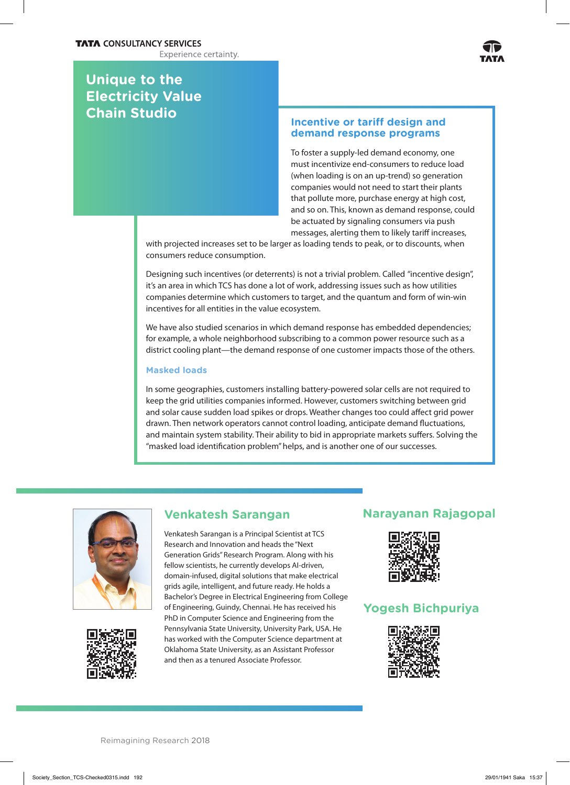Experience certainty.

# **Unique to the Electricity Value Chain Studio**

#### **Incentive or tariff design and demand response programs**

To foster a supply-led demand economy, one must incentivize end-consumers to reduce load (when loading is on an up-trend) so generation companies would not need to start their plants that pollute more, purchase energy at high cost, and so on. This, known as demand response, could be actuated by signaling consumers via push messages, alerting them to likely tariff increases,

with projected increases set to be larger as loading tends to peak, or to discounts, when consumers reduce consumption.

Designing such incentives (or deterrents) is not a trivial problem. Called "incentive design", it's an area in which TCS has done a lot of work, addressing issues such as how utilities companies determine which customers to target, and the quantum and form of win-win incentives for all entities in the value ecosystem.

We have also studied scenarios in which demand response has embedded dependencies; for example, a whole neighborhood subscribing to a common power resource such as a district cooling plant—the demand response of one customer impacts those of the others.

#### **Masked loads**

In some geographies, customers installing battery-powered solar cells are not required to keep the grid utilities companies informed. However, customers switching between grid and solar cause sudden load spikes or drops. Weather changes too could affect grid power drawn. Then network operators cannot control loading, anticipate demand fluctuations, and maintain system stability. Their ability to bid in appropriate markets suffers. Solving the "masked load identification problem" helps, and is another one of our successes.





Venkatesh Sarangan is a Principal Scientist at TCS Research and Innovation and heads the "Next Generation Grids" Research Program. Along with his fellow scientists, he currently develops AI-driven, domain-infused, digital solutions that make electrical grids agile, intelligent, and future ready. He holds a Bachelor's Degree in Electrical Engineering from College of Engineering, Guindy, Chennai. He has received his PhD in Computer Science and Engineering from the Pennsylvania State University, University Park, USA. He has worked with the Computer Science department at Oklahoma State University, as an Assistant Professor and then as a tenured Associate Professor.

### **Narayanan Rajagopal**



## **Yogesh Bichpuriya**